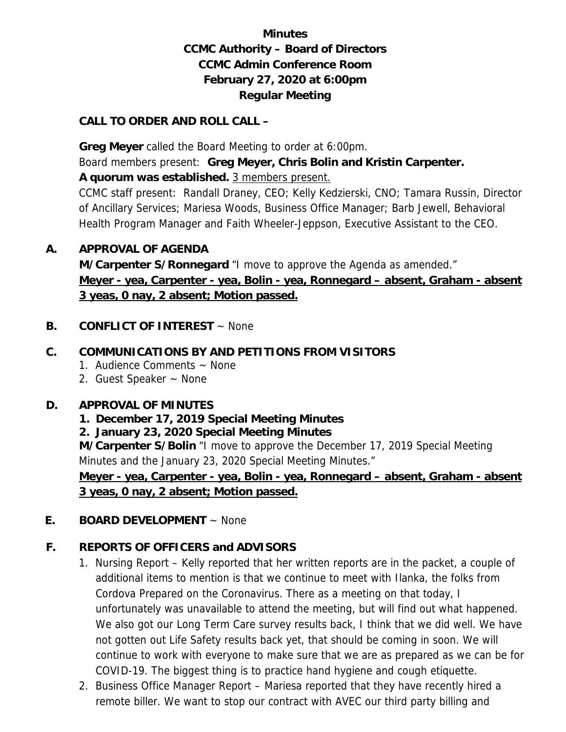# **Minutes CCMC Authority – Board of Directors CCMC Admin Conference Room February 27, 2020 at 6:00pm Regular Meeting**

#### **CALL TO ORDER AND ROLL CALL –**

 **Greg Meyer** called the Board Meeting to order at 6:00pm. Board members present: **Greg Meyer, Chris Bolin and Kristin Carpenter.** 

**A quorum was established.** 3 members present.

CCMC staff present: Randall Draney, CEO; Kelly Kedzierski, CNO; Tamara Russin, Director of Ancillary Services; Mariesa Woods, Business Office Manager; Barb Jewell, Behavioral Health Program Manager and Faith Wheeler-Jeppson, Executive Assistant to the CEO.

#### **A. APPROVAL OF AGENDA**

**M/Carpenter S/Ronnegard** "I move to approve the Agenda as amended." **Meyer - yea, Carpenter - yea, Bolin - yea, Ronnegard – absent, Graham - absent 3 yeas, 0 nay, 2 absent; Motion passed.** 

**B. CONFLICT OF INTEREST** ~ None

#### **C. COMMUNICATIONS BY AND PETITIONS FROM VISITORS**

- 1. Audience Comments ~ None
- 2. Guest Speaker ~ None

### **D. APPROVAL OF MINUTES**

- **1. December 17, 2019 Special Meeting Minutes**
- **2. January 23, 2020 Special Meeting Minutes**

**M/Carpenter S/Bolin** "I move to approve the December 17, 2019 Special Meeting Minutes and the January 23, 2020 Special Meeting Minutes."

**Meyer - yea, Carpenter - yea, Bolin - yea, Ronnegard – absent, Graham - absent 3 yeas, 0 nay, 2 absent; Motion passed.** 

**E. BOARD DEVELOPMENT** ~ None

### **F. REPORTS OF OFFICERS and ADVISORS**

- 1. Nursing Report Kelly reported that her written reports are in the packet, a couple of additional items to mention is that we continue to meet with Ilanka, the folks from Cordova Prepared on the Coronavirus. There as a meeting on that today, I unfortunately was unavailable to attend the meeting, but will find out what happened. We also got our Long Term Care survey results back, I think that we did well. We have not gotten out Life Safety results back yet, that should be coming in soon. We will continue to work with everyone to make sure that we are as prepared as we can be for COVID-19. The biggest thing is to practice hand hygiene and cough etiquette.
- 2. Business Office Manager Report Mariesa reported that they have recently hired a remote biller. We want to stop our contract with AVEC our third party billing and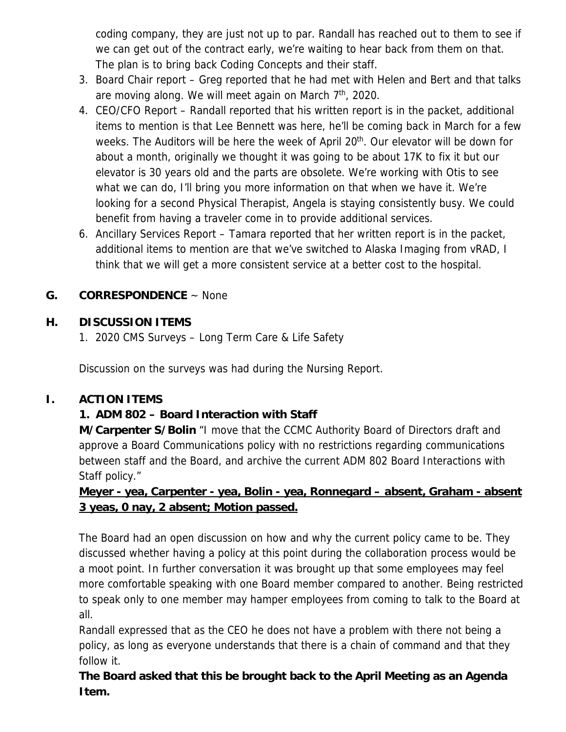coding company, they are just not up to par. Randall has reached out to them to see if we can get out of the contract early, we're waiting to hear back from them on that. The plan is to bring back Coding Concepts and their staff.

- 3. Board Chair report Greg reported that he had met with Helen and Bert and that talks are moving along. We will meet again on March 7th, 2020.
- 4. CEO/CFO Report Randall reported that his written report is in the packet, additional items to mention is that Lee Bennett was here, he'll be coming back in March for a few weeks. The Auditors will be here the week of April 20<sup>th</sup>. Our elevator will be down for about a month, originally we thought it was going to be about 17K to fix it but our elevator is 30 years old and the parts are obsolete. We're working with Otis to see what we can do, I'll bring you more information on that when we have it. We're looking for a second Physical Therapist, Angela is staying consistently busy. We could benefit from having a traveler come in to provide additional services.
- 6. Ancillary Services Report Tamara reported that her written report is in the packet, additional items to mention are that we've switched to Alaska Imaging from vRAD, I think that we will get a more consistent service at a better cost to the hospital.

### **G. CORRESPONDENCE** ~ None

## **H. DISCUSSION ITEMS**

1. 2020 CMS Surveys – Long Term Care & Life Safety

Discussion on the surveys was had during the Nursing Report.

### **I. ACTION ITEMS**

# **1. ADM 802 – Board Interaction with Staff**

**M/Carpenter S/Bolin** "I move that the CCMC Authority Board of Directors draft and approve a Board Communications policy with no restrictions regarding communications between staff and the Board, and archive the current ADM 802 Board Interactions with Staff policy."

## **Meyer - yea, Carpenter - yea, Bolin - yea, Ronnegard – absent, Graham - absent 3 yeas, 0 nay, 2 absent; Motion passed.**

The Board had an open discussion on how and why the current policy came to be. They discussed whether having a policy at this point during the collaboration process would be a moot point. In further conversation it was brought up that some employees may feel more comfortable speaking with one Board member compared to another. Being restricted to speak only to one member may hamper employees from coming to talk to the Board at all.

Randall expressed that as the CEO he does not have a problem with there not being a policy, as long as everyone understands that there is a chain of command and that they follow it.

**The Board asked that this be brought back to the April Meeting as an Agenda Item.**